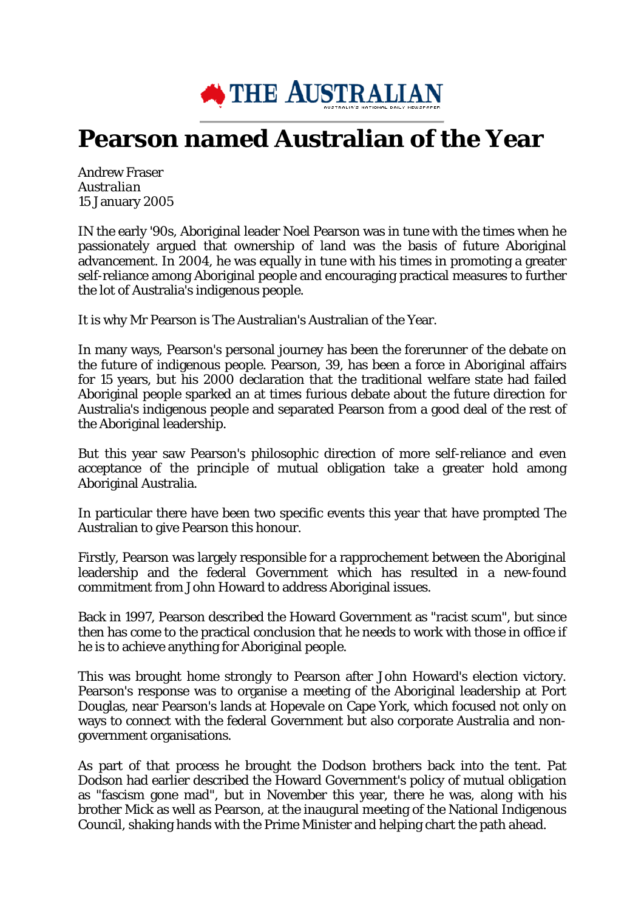

## **Pearson named Australian of the Year**

Andrew Fraser *Australian* 15 January 2005

IN the early '90s, Aboriginal leader Noel Pearson was in tune with the times when he passionately argued that ownership of land was the basis of future Aboriginal advancement. In 2004, he was equally in tune with his times in promoting a greater self-reliance among Aboriginal people and encouraging practical measures to further the lot of Australia's indigenous people.

It is why Mr Pearson is The Australian's Australian of the Year.

In many ways, Pearson's personal journey has been the forerunner of the debate on the future of indigenous people. Pearson, 39, has been a force in Aboriginal affairs for 15 years, but his 2000 declaration that the traditional welfare state had failed Aboriginal people sparked an at times furious debate about the future direction for Australia's indigenous people and separated Pearson from a good deal of the rest of the Aboriginal leadership.

But this year saw Pearson's philosophic direction of more self-reliance and even acceptance of the principle of mutual obligation take a greater hold among Aboriginal Australia.

In particular there have been two specific events this year that have prompted The Australian to give Pearson this honour.

Firstly, Pearson was largely responsible for a rapprochement between the Aboriginal leadership and the federal Government which has resulted in a new-found commitment from John Howard to address Aboriginal issues.

Back in 1997, Pearson described the Howard Government as "racist scum", but since then has come to the practical conclusion that he needs to work with those in office if he is to achieve anything for Aboriginal people.

This was brought home strongly to Pearson after John Howard's election victory. Pearson's response was to organise a meeting of the Aboriginal leadership at Port Douglas, near Pearson's lands at Hopevale on Cape York, which focused not only on ways to connect with the federal Government but also corporate Australia and nongovernment organisations.

As part of that process he brought the Dodson brothers back into the tent. Pat Dodson had earlier described the Howard Government's policy of mutual obligation as "fascism gone mad", but in November this year, there he was, along with his brother Mick as well as Pearson, at the inaugural meeting of the National Indigenous Council, shaking hands with the Prime Minister and helping chart the path ahead.